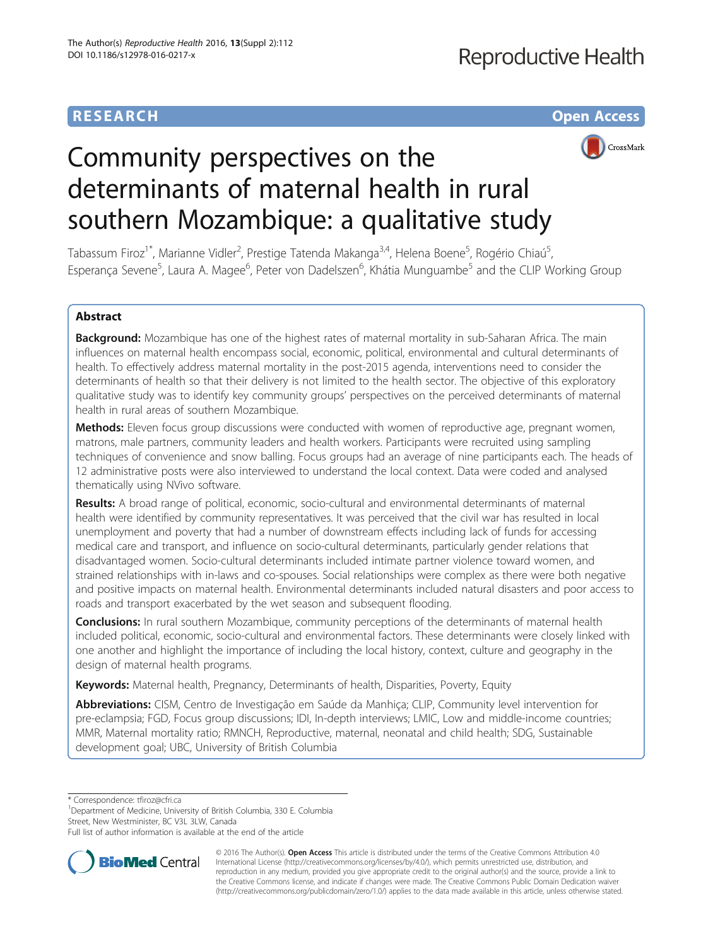## **RESEARCH CHE Open Access**



# Community perspectives on the determinants of maternal health in rural southern Mozambique: a qualitative study

Tabassum Firoz<sup>1\*</sup>, Marianne Vidler<sup>2</sup>, Prestige Tatenda Makanga<sup>3,4</sup>, Helena Boene<sup>5</sup>, Rogério Chiaú<sup>5</sup> , Esperança Sevene<sup>5</sup>, Laura A. Magee<sup>6</sup>, Peter von Dadelszen<sup>6</sup>, Khátia Munguambe<sup>5</sup> and the CLIP Working Group

## Abstract

Background: Mozambique has one of the highest rates of maternal mortality in sub-Saharan Africa. The main influences on maternal health encompass social, economic, political, environmental and cultural determinants of health. To effectively address maternal mortality in the post-2015 agenda, interventions need to consider the determinants of health so that their delivery is not limited to the health sector. The objective of this exploratory qualitative study was to identify key community groups' perspectives on the perceived determinants of maternal health in rural areas of southern Mozambique.

**Methods:** Eleven focus group discussions were conducted with women of reproductive age, pregnant women, matrons, male partners, community leaders and health workers. Participants were recruited using sampling techniques of convenience and snow balling. Focus groups had an average of nine participants each. The heads of 12 administrative posts were also interviewed to understand the local context. Data were coded and analysed thematically using NVivo software.

Results: A broad range of political, economic, socio-cultural and environmental determinants of maternal health were identified by community representatives. It was perceived that the civil war has resulted in local unemployment and poverty that had a number of downstream effects including lack of funds for accessing medical care and transport, and influence on socio-cultural determinants, particularly gender relations that disadvantaged women. Socio-cultural determinants included intimate partner violence toward women, and strained relationships with in-laws and co-spouses. Social relationships were complex as there were both negative and positive impacts on maternal health. Environmental determinants included natural disasters and poor access to roads and transport exacerbated by the wet season and subsequent flooding.

**Conclusions:** In rural southern Mozambique, community perceptions of the determinants of maternal health included political, economic, socio-cultural and environmental factors. These determinants were closely linked with one another and highlight the importance of including the local history, context, culture and geography in the design of maternal health programs.

Keywords: Maternal health, Pregnancy, Determinants of health, Disparities, Poverty, Equity

Abbreviations: CISM, Centro de Investigação em Saúde da Manhiça; CLIP, Community level intervention for pre-eclampsia; FGD, Focus group discussions; IDI, In-depth interviews; LMIC, Low and middle-income countries; MMR, Maternal mortality ratio; RMNCH, Reproductive, maternal, neonatal and child health; SDG, Sustainable development goal; UBC, University of British Columbia

\* Correspondence: [tfiroz@cfri.ca](mailto:tfiroz@cfri.ca) <sup>1</sup>

<sup>1</sup>Department of Medicine, University of British Columbia, 330 E. Columbia Street, New Westminister, BC V3L 3LW, Canada

Full list of author information is available at the end of the article



© 2016 The Author(s). Open Access This article is distributed under the terms of the Creative Commons Attribution 4.0 International License [\(http://creativecommons.org/licenses/by/4.0/](http://creativecommons.org/licenses/by/4.0/)), which permits unrestricted use, distribution, and reproduction in any medium, provided you give appropriate credit to the original author(s) and the source, provide a link to the Creative Commons license, and indicate if changes were made. The Creative Commons Public Domain Dedication waiver [\(http://creativecommons.org/publicdomain/zero/1.0/](http://creativecommons.org/publicdomain/zero/1.0/)) applies to the data made available in this article, unless otherwise stated.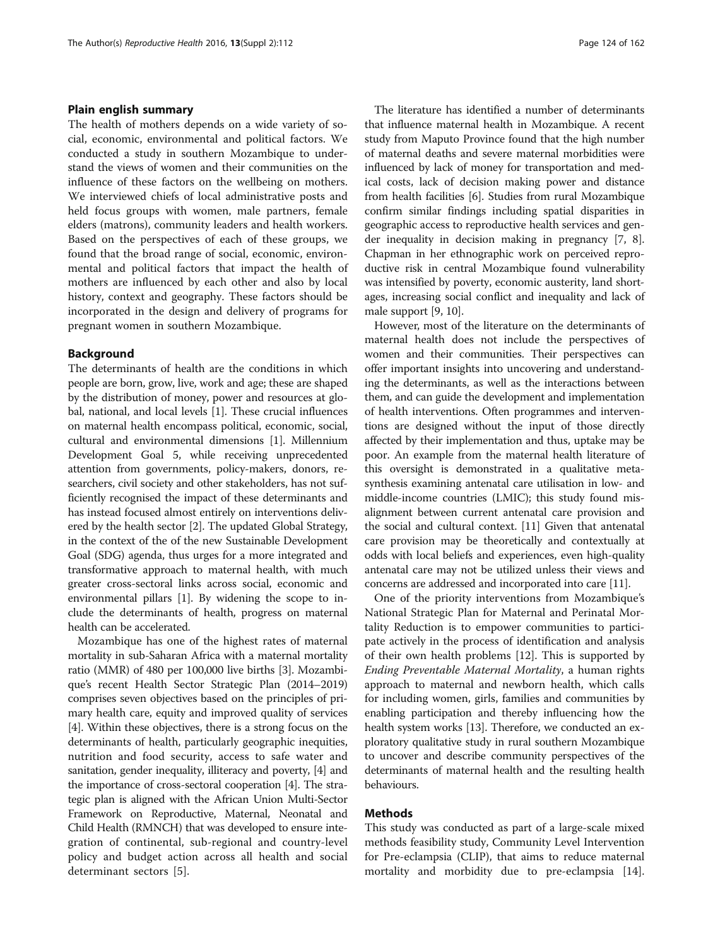#### Plain english summary

The health of mothers depends on a wide variety of social, economic, environmental and political factors. We conducted a study in southern Mozambique to understand the views of women and their communities on the influence of these factors on the wellbeing on mothers. We interviewed chiefs of local administrative posts and held focus groups with women, male partners, female elders (matrons), community leaders and health workers. Based on the perspectives of each of these groups, we found that the broad range of social, economic, environmental and political factors that impact the health of mothers are influenced by each other and also by local history, context and geography. These factors should be incorporated in the design and delivery of programs for pregnant women in southern Mozambique.

#### Background

The determinants of health are the conditions in which people are born, grow, live, work and age; these are shaped by the distribution of money, power and resources at global, national, and local levels [[1](#page-7-0)]. These crucial influences on maternal health encompass political, economic, social, cultural and environmental dimensions [\[1](#page-7-0)]. Millennium Development Goal 5, while receiving unprecedented attention from governments, policy-makers, donors, researchers, civil society and other stakeholders, has not sufficiently recognised the impact of these determinants and has instead focused almost entirely on interventions delivered by the health sector [\[2\]](#page-7-0). The updated Global Strategy, in the context of the of the new Sustainable Development Goal (SDG) agenda, thus urges for a more integrated and transformative approach to maternal health, with much greater cross-sectoral links across social, economic and environmental pillars [\[1](#page-7-0)]. By widening the scope to include the determinants of health, progress on maternal health can be accelerated.

Mozambique has one of the highest rates of maternal mortality in sub-Saharan Africa with a maternal mortality ratio (MMR) of 480 per 100,000 live births [[3\]](#page-7-0). Mozambique's recent Health Sector Strategic Plan (2014–2019) comprises seven objectives based on the principles of primary health care, equity and improved quality of services [[4\]](#page-7-0). Within these objectives, there is a strong focus on the determinants of health, particularly geographic inequities, nutrition and food security, access to safe water and sanitation, gender inequality, illiteracy and poverty, [\[4\]](#page-7-0) and the importance of cross-sectoral cooperation [\[4\]](#page-7-0). The strategic plan is aligned with the African Union Multi-Sector Framework on Reproductive, Maternal, Neonatal and Child Health (RMNCH) that was developed to ensure integration of continental, sub-regional and country-level policy and budget action across all health and social determinant sectors [[5\]](#page-7-0).

The literature has identified a number of determinants that influence maternal health in Mozambique. A recent study from Maputo Province found that the high number of maternal deaths and severe maternal morbidities were influenced by lack of money for transportation and medical costs, lack of decision making power and distance from health facilities [\[6](#page-8-0)]. Studies from rural Mozambique confirm similar findings including spatial disparities in geographic access to reproductive health services and gender inequality in decision making in pregnancy [\[7](#page-8-0), [8](#page-8-0)]. Chapman in her ethnographic work on perceived reproductive risk in central Mozambique found vulnerability was intensified by poverty, economic austerity, land shortages, increasing social conflict and inequality and lack of male support [\[9](#page-8-0), [10](#page-8-0)].

However, most of the literature on the determinants of maternal health does not include the perspectives of women and their communities. Their perspectives can offer important insights into uncovering and understanding the determinants, as well as the interactions between them, and can guide the development and implementation of health interventions. Often programmes and interventions are designed without the input of those directly affected by their implementation and thus, uptake may be poor. An example from the maternal health literature of this oversight is demonstrated in a qualitative metasynthesis examining antenatal care utilisation in low- and middle-income countries (LMIC); this study found misalignment between current antenatal care provision and the social and cultural context. [[11](#page-8-0)] Given that antenatal care provision may be theoretically and contextually at odds with local beliefs and experiences, even high-quality antenatal care may not be utilized unless their views and concerns are addressed and incorporated into care [\[11\]](#page-8-0).

One of the priority interventions from Mozambique's National Strategic Plan for Maternal and Perinatal Mortality Reduction is to empower communities to participate actively in the process of identification and analysis of their own health problems [[12\]](#page-8-0). This is supported by Ending Preventable Maternal Mortality, a human rights approach to maternal and newborn health, which calls for including women, girls, families and communities by enabling participation and thereby influencing how the health system works [\[13](#page-8-0)]. Therefore, we conducted an exploratory qualitative study in rural southern Mozambique to uncover and describe community perspectives of the determinants of maternal health and the resulting health behaviours.

## Methods

This study was conducted as part of a large-scale mixed methods feasibility study, Community Level Intervention for Pre-eclampsia (CLIP), that aims to reduce maternal mortality and morbidity due to pre-eclampsia [\[14](#page-8-0)].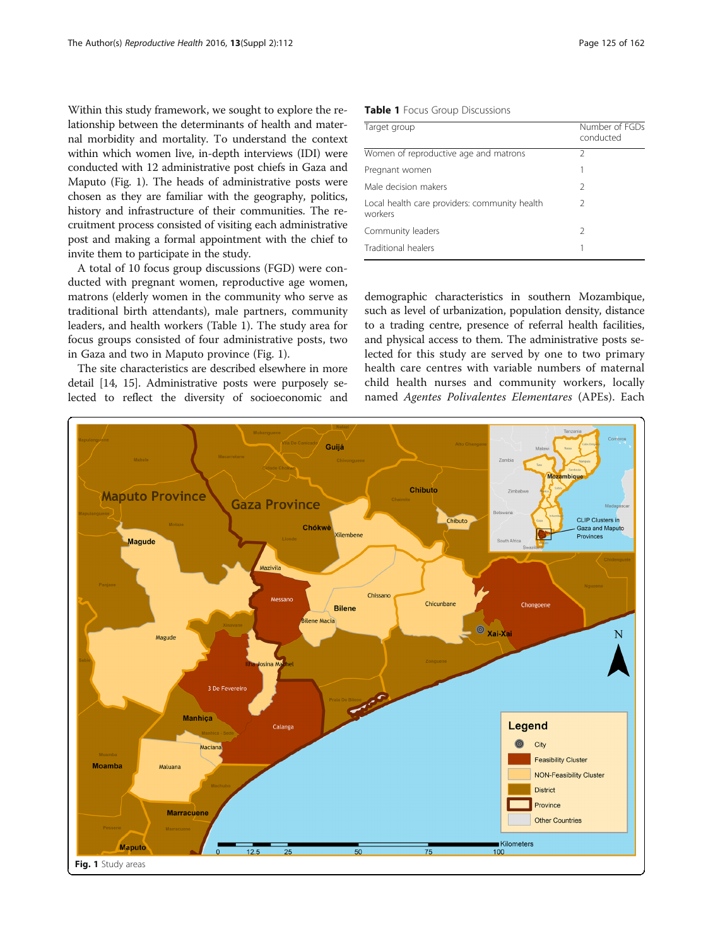Within this study framework, we sought to explore the relationship between the determinants of health and maternal morbidity and mortality. To understand the context within which women live, in-depth interviews (IDI) were conducted with 12 administrative post chiefs in Gaza and Maputo (Fig. 1). The heads of administrative posts were chosen as they are familiar with the geography, politics, history and infrastructure of their communities. The recruitment process consisted of visiting each administrative post and making a formal appointment with the chief to invite them to participate in the study.

A total of 10 focus group discussions (FGD) were conducted with pregnant women, reproductive age women, matrons (elderly women in the community who serve as traditional birth attendants), male partners, community leaders, and health workers (Table 1). The study area for focus groups consisted of four administrative posts, two in Gaza and two in Maputo province (Fig. 1).

The site characteristics are described elsewhere in more detail [\[14, 15](#page-8-0)]. Administrative posts were purposely selected to reflect the diversity of socioeconomic and

| Table 1 Focus Group Discussions |  |
|---------------------------------|--|
|---------------------------------|--|

| Target group                                             | Number of FGDs<br>conducted |
|----------------------------------------------------------|-----------------------------|
| Women of reproductive age and matrons                    | っ                           |
| Pregnant women                                           |                             |
| Male decision makers                                     | 2                           |
| Local health care providers: community health<br>workers | 2                           |
| Community leaders                                        | 2                           |
| <b>Traditional healers</b>                               |                             |

demographic characteristics in southern Mozambique, such as level of urbanization, population density, distance to a trading centre, presence of referral health facilities, and physical access to them. The administrative posts selected for this study are served by one to two primary health care centres with variable numbers of maternal child health nurses and community workers, locally named Agentes Polivalentes Elementares (APEs). Each

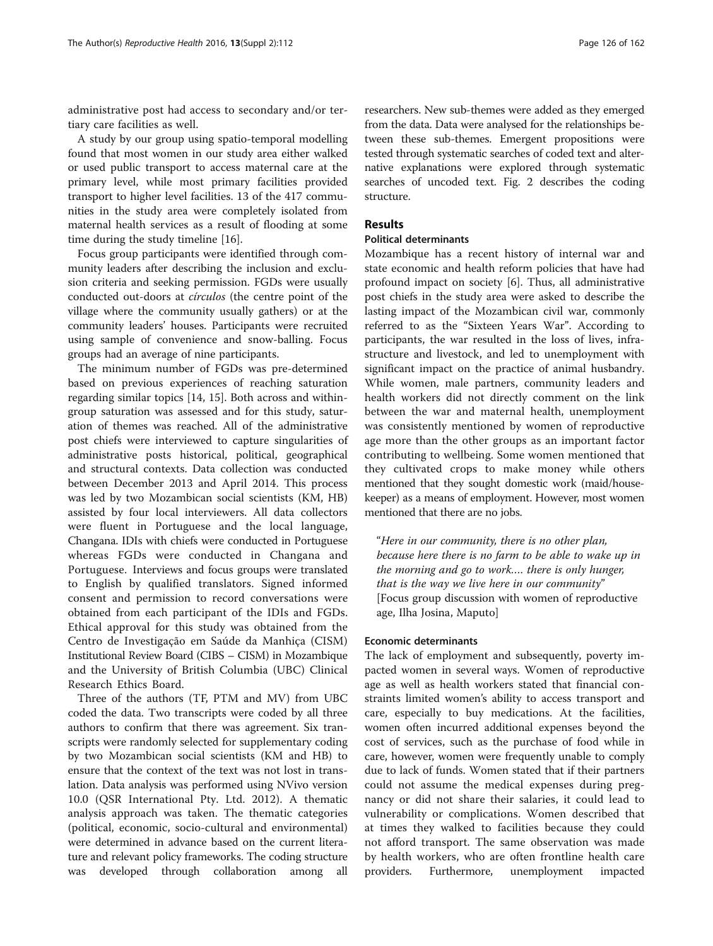administrative post had access to secondary and/or tertiary care facilities as well.

A study by our group using spatio-temporal modelling found that most women in our study area either walked or used public transport to access maternal care at the primary level, while most primary facilities provided transport to higher level facilities. 13 of the 417 communities in the study area were completely isolated from maternal health services as a result of flooding at some time during the study timeline [[16\]](#page-8-0).

Focus group participants were identified through community leaders after describing the inclusion and exclusion criteria and seeking permission. FGDs were usually conducted out-doors at círculos (the centre point of the village where the community usually gathers) or at the community leaders' houses. Participants were recruited using sample of convenience and snow-balling. Focus groups had an average of nine participants.

The minimum number of FGDs was pre-determined based on previous experiences of reaching saturation regarding similar topics [\[14](#page-8-0), [15](#page-8-0)]. Both across and withingroup saturation was assessed and for this study, saturation of themes was reached. All of the administrative post chiefs were interviewed to capture singularities of administrative posts historical, political, geographical and structural contexts. Data collection was conducted between December 2013 and April 2014. This process was led by two Mozambican social scientists (KM, HB) assisted by four local interviewers. All data collectors were fluent in Portuguese and the local language, Changana. IDIs with chiefs were conducted in Portuguese whereas FGDs were conducted in Changana and Portuguese. Interviews and focus groups were translated to English by qualified translators. Signed informed consent and permission to record conversations were obtained from each participant of the IDIs and FGDs. Ethical approval for this study was obtained from the Centro de Investigação em Saúde da Manhiça (CISM) Institutional Review Board (CIBS – CISM) in Mozambique and the University of British Columbia (UBC) Clinical Research Ethics Board.

Three of the authors (TF, PTM and MV) from UBC coded the data. Two transcripts were coded by all three authors to confirm that there was agreement. Six transcripts were randomly selected for supplementary coding by two Mozambican social scientists (KM and HB) to ensure that the context of the text was not lost in translation. Data analysis was performed using NVivo version 10.0 (QSR International Pty. Ltd. 2012). A thematic analysis approach was taken. The thematic categories (political, economic, socio-cultural and environmental) were determined in advance based on the current literature and relevant policy frameworks. The coding structure was developed through collaboration among all

researchers. New sub-themes were added as they emerged from the data. Data were analysed for the relationships between these sub-themes. Emergent propositions were tested through systematic searches of coded text and alternative explanations were explored through systematic searches of uncoded text. Fig. [2](#page-4-0) describes the coding structure.

## Results

## Political determinants

Mozambique has a recent history of internal war and state economic and health reform policies that have had profound impact on society [[6\]](#page-8-0). Thus, all administrative post chiefs in the study area were asked to describe the lasting impact of the Mozambican civil war, commonly referred to as the "Sixteen Years War". According to participants, the war resulted in the loss of lives, infrastructure and livestock, and led to unemployment with significant impact on the practice of animal husbandry. While women, male partners, community leaders and health workers did not directly comment on the link between the war and maternal health, unemployment was consistently mentioned by women of reproductive age more than the other groups as an important factor contributing to wellbeing. Some women mentioned that they cultivated crops to make money while others mentioned that they sought domestic work (maid/housekeeper) as a means of employment. However, most women mentioned that there are no jobs.

"Here in our community, there is no other plan, because here there is no farm to be able to wake up in the morning and go to work…. there is only hunger, that is the way we live here in our community" [Focus group discussion with women of reproductive age, Ilha Josina, Maputo]

## Economic determinants

The lack of employment and subsequently, poverty impacted women in several ways. Women of reproductive age as well as health workers stated that financial constraints limited women's ability to access transport and care, especially to buy medications. At the facilities, women often incurred additional expenses beyond the cost of services, such as the purchase of food while in care, however, women were frequently unable to comply due to lack of funds. Women stated that if their partners could not assume the medical expenses during pregnancy or did not share their salaries, it could lead to vulnerability or complications. Women described that at times they walked to facilities because they could not afford transport. The same observation was made by health workers, who are often frontline health care providers. Furthermore, unemployment impacted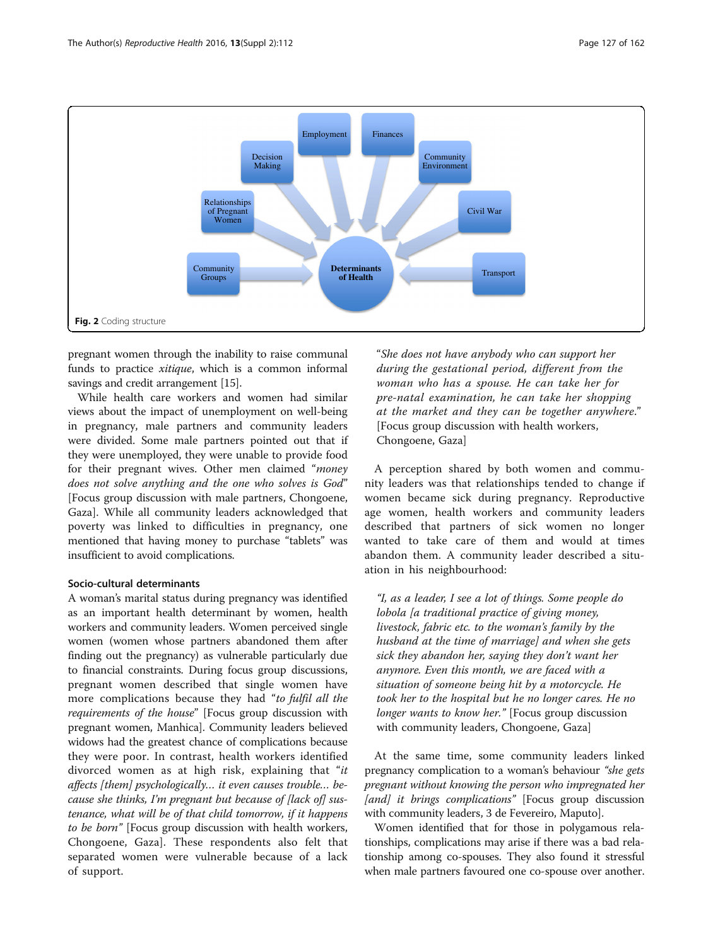<span id="page-4-0"></span>

pregnant women through the inability to raise communal funds to practice *xitique*, which is a common informal savings and credit arrangement [\[15\]](#page-8-0).

While health care workers and women had similar views about the impact of unemployment on well-being in pregnancy, male partners and community leaders were divided. Some male partners pointed out that if they were unemployed, they were unable to provide food for their pregnant wives. Other men claimed "money does not solve anything and the one who solves is God" [Focus group discussion with male partners, Chongoene, Gaza]. While all community leaders acknowledged that poverty was linked to difficulties in pregnancy, one mentioned that having money to purchase "tablets" was insufficient to avoid complications.

#### Socio-cultural determinants

A woman's marital status during pregnancy was identified as an important health determinant by women, health workers and community leaders. Women perceived single women (women whose partners abandoned them after finding out the pregnancy) as vulnerable particularly due to financial constraints. During focus group discussions, pregnant women described that single women have more complications because they had "to fulfil all the requirements of the house" [Focus group discussion with pregnant women, Manhica]. Community leaders believed widows had the greatest chance of complications because they were poor. In contrast, health workers identified divorced women as at high risk, explaining that "it affects [them] psychologically… it even causes trouble… because she thinks, I'm pregnant but because of [lack of] sustenance, what will be of that child tomorrow, if it happens to be born" [Focus group discussion with health workers, Chongoene, Gaza]. These respondents also felt that separated women were vulnerable because of a lack of support.

"She does not have anybody who can support her during the gestational period, different from the woman who has a spouse. He can take her for pre-natal examination, he can take her shopping at the market and they can be together anywhere." [Focus group discussion with health workers, Chongoene, Gaza]

A perception shared by both women and community leaders was that relationships tended to change if women became sick during pregnancy. Reproductive age women, health workers and community leaders described that partners of sick women no longer wanted to take care of them and would at times abandon them. A community leader described a situation in his neighbourhood:

"I, as a leader, I see a lot of things. Some people do lobola [a traditional practice of giving money, livestock, fabric etc. to the woman's family by the husband at the time of marriage] and when she gets sick they abandon her, saying they don't want her anymore. Even this month, we are faced with a situation of someone being hit by a motorcycle. He took her to the hospital but he no longer cares. He no longer wants to know her." [Focus group discussion with community leaders, Chongoene, Gaza]

At the same time, some community leaders linked pregnancy complication to a woman's behaviour "she gets pregnant without knowing the person who impregnated her [and] it brings complications" [Focus group discussion with community leaders, 3 de Fevereiro, Maputo].

Women identified that for those in polygamous relationships, complications may arise if there was a bad relationship among co-spouses. They also found it stressful when male partners favoured one co-spouse over another.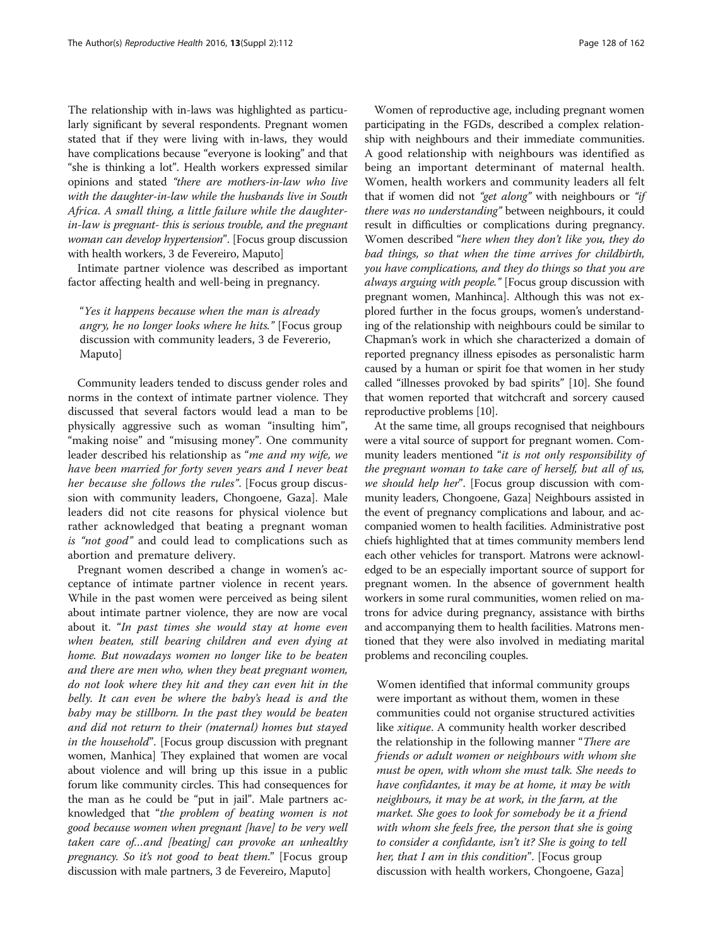The relationship with in-laws was highlighted as particularly significant by several respondents. Pregnant women stated that if they were living with in-laws, they would have complications because "everyone is looking" and that "she is thinking a lot". Health workers expressed similar opinions and stated "there are mothers-in-law who live with the daughter-in-law while the husbands live in South Africa. A small thing, a little failure while the daughterin-law is pregnant- this is serious trouble, and the pregnant woman can develop hypertension". [Focus group discussion with health workers, 3 de Fevereiro, Maputo]

Intimate partner violence was described as important factor affecting health and well-being in pregnancy.

"Yes it happens because when the man is already angry, he no longer looks where he hits." [Focus group discussion with community leaders, 3 de Fevererio, Maputo]

Community leaders tended to discuss gender roles and norms in the context of intimate partner violence. They discussed that several factors would lead a man to be physically aggressive such as woman "insulting him", "making noise" and "misusing money". One community leader described his relationship as "me and my wife, we have been married for forty seven years and I never beat her because she follows the rules". [Focus group discussion with community leaders, Chongoene, Gaza]. Male leaders did not cite reasons for physical violence but rather acknowledged that beating a pregnant woman is "not good" and could lead to complications such as abortion and premature delivery.

Pregnant women described a change in women's acceptance of intimate partner violence in recent years. While in the past women were perceived as being silent about intimate partner violence, they are now are vocal about it. "In past times she would stay at home even when beaten, still bearing children and even dying at home. But nowadays women no longer like to be beaten and there are men who, when they beat pregnant women, do not look where they hit and they can even hit in the belly. It can even be where the baby's head is and the baby may be stillborn. In the past they would be beaten and did not return to their (maternal) homes but stayed in the household". [Focus group discussion with pregnant women, Manhica] They explained that women are vocal about violence and will bring up this issue in a public forum like community circles. This had consequences for the man as he could be "put in jail". Male partners acknowledged that "the problem of beating women is not good because women when pregnant [have] to be very well taken care of…and [beating] can provoke an unhealthy pregnancy. So it's not good to beat them." [Focus group discussion with male partners, 3 de Fevereiro, Maputo]

Women of reproductive age, including pregnant women participating in the FGDs, described a complex relationship with neighbours and their immediate communities. A good relationship with neighbours was identified as being an important determinant of maternal health. Women, health workers and community leaders all felt that if women did not "get along" with neighbours or "if there was no understanding" between neighbours, it could result in difficulties or complications during pregnancy. Women described "here when they don't like you, they do bad things, so that when the time arrives for childbirth, you have complications, and they do things so that you are always arguing with people." [Focus group discussion with pregnant women, Manhinca]. Although this was not explored further in the focus groups, women's understanding of the relationship with neighbours could be similar to Chapman's work in which she characterized a domain of reported pregnancy illness episodes as personalistic harm caused by a human or spirit foe that women in her study called "illnesses provoked by bad spirits" [\[10\]](#page-8-0). She found that women reported that witchcraft and sorcery caused reproductive problems [\[10\]](#page-8-0).

At the same time, all groups recognised that neighbours were a vital source of support for pregnant women. Community leaders mentioned "it is not only responsibility of the pregnant woman to take care of herself, but all of us, we should help her". [Focus group discussion with community leaders, Chongoene, Gaza] Neighbours assisted in the event of pregnancy complications and labour, and accompanied women to health facilities. Administrative post chiefs highlighted that at times community members lend each other vehicles for transport. Matrons were acknowledged to be an especially important source of support for pregnant women. In the absence of government health workers in some rural communities, women relied on matrons for advice during pregnancy, assistance with births and accompanying them to health facilities. Matrons mentioned that they were also involved in mediating marital problems and reconciling couples.

Women identified that informal community groups were important as without them, women in these communities could not organise structured activities like *xitique*. A community health worker described the relationship in the following manner "There are friends or adult women or neighbours with whom she must be open, with whom she must talk. She needs to have confidantes, it may be at home, it may be with neighbours, it may be at work, in the farm, at the market. She goes to look for somebody be it a friend with whom she feels free, the person that she is going to consider a confidante, isn't it? She is going to tell her, that I am in this condition". [Focus group discussion with health workers, Chongoene, Gaza]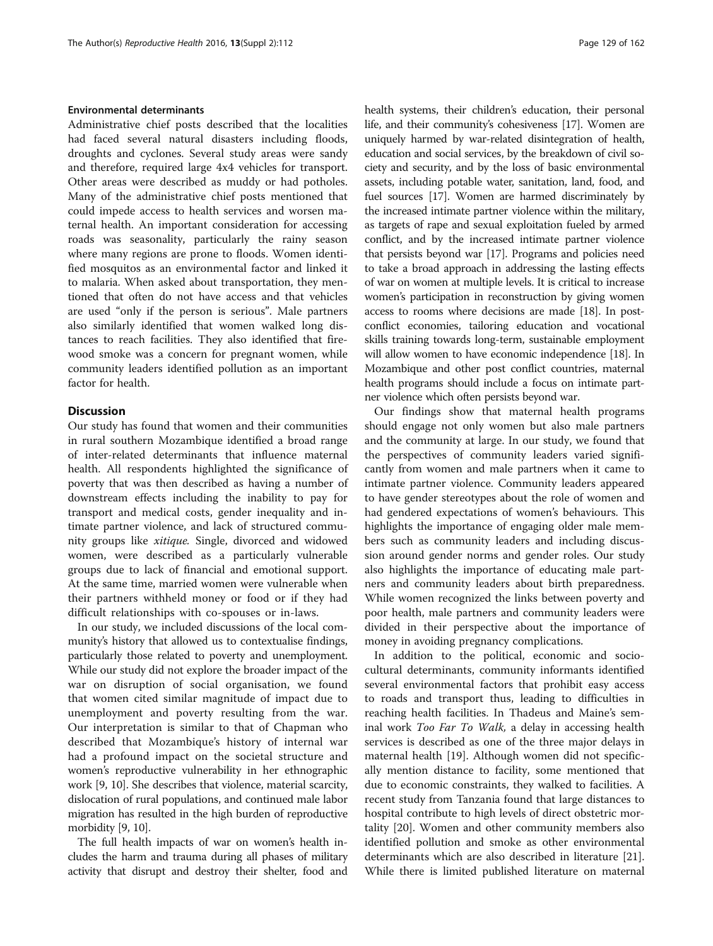## Environmental determinants

Administrative chief posts described that the localities had faced several natural disasters including floods, droughts and cyclones. Several study areas were sandy and therefore, required large 4x4 vehicles for transport. Other areas were described as muddy or had potholes. Many of the administrative chief posts mentioned that could impede access to health services and worsen maternal health. An important consideration for accessing roads was seasonality, particularly the rainy season where many regions are prone to floods. Women identified mosquitos as an environmental factor and linked it to malaria. When asked about transportation, they mentioned that often do not have access and that vehicles are used "only if the person is serious". Male partners also similarly identified that women walked long distances to reach facilities. They also identified that firewood smoke was a concern for pregnant women, while community leaders identified pollution as an important factor for health.

## Discussion

Our study has found that women and their communities in rural southern Mozambique identified a broad range of inter-related determinants that influence maternal health. All respondents highlighted the significance of poverty that was then described as having a number of downstream effects including the inability to pay for transport and medical costs, gender inequality and intimate partner violence, and lack of structured community groups like xitique. Single, divorced and widowed women, were described as a particularly vulnerable groups due to lack of financial and emotional support. At the same time, married women were vulnerable when their partners withheld money or food or if they had difficult relationships with co-spouses or in-laws.

In our study, we included discussions of the local community's history that allowed us to contextualise findings, particularly those related to poverty and unemployment. While our study did not explore the broader impact of the war on disruption of social organisation, we found that women cited similar magnitude of impact due to unemployment and poverty resulting from the war. Our interpretation is similar to that of Chapman who described that Mozambique's history of internal war had a profound impact on the societal structure and women's reproductive vulnerability in her ethnographic work [[9, 10](#page-8-0)]. She describes that violence, material scarcity, dislocation of rural populations, and continued male labor migration has resulted in the high burden of reproductive morbidity [[9](#page-8-0), [10\]](#page-8-0).

The full health impacts of war on women's health includes the harm and trauma during all phases of military activity that disrupt and destroy their shelter, food and health systems, their children's education, their personal life, and their community's cohesiveness [\[17\]](#page-8-0). Women are uniquely harmed by war-related disintegration of health, education and social services, by the breakdown of civil society and security, and by the loss of basic environmental assets, including potable water, sanitation, land, food, and fuel sources [\[17\]](#page-8-0). Women are harmed discriminately by the increased intimate partner violence within the military, as targets of rape and sexual exploitation fueled by armed conflict, and by the increased intimate partner violence that persists beyond war [\[17](#page-8-0)]. Programs and policies need to take a broad approach in addressing the lasting effects of war on women at multiple levels. It is critical to increase women's participation in reconstruction by giving women access to rooms where decisions are made [\[18\]](#page-8-0). In postconflict economies, tailoring education and vocational skills training towards long-term, sustainable employment will allow women to have economic independence [\[18\]](#page-8-0). In Mozambique and other post conflict countries, maternal health programs should include a focus on intimate partner violence which often persists beyond war.

Our findings show that maternal health programs should engage not only women but also male partners and the community at large. In our study, we found that the perspectives of community leaders varied significantly from women and male partners when it came to intimate partner violence. Community leaders appeared to have gender stereotypes about the role of women and had gendered expectations of women's behaviours. This highlights the importance of engaging older male members such as community leaders and including discussion around gender norms and gender roles. Our study also highlights the importance of educating male partners and community leaders about birth preparedness. While women recognized the links between poverty and poor health, male partners and community leaders were divided in their perspective about the importance of money in avoiding pregnancy complications.

In addition to the political, economic and sociocultural determinants, community informants identified several environmental factors that prohibit easy access to roads and transport thus, leading to difficulties in reaching health facilities. In Thadeus and Maine's seminal work Too Far To Walk, a delay in accessing health services is described as one of the three major delays in maternal health [\[19](#page-8-0)]. Although women did not specifically mention distance to facility, some mentioned that due to economic constraints, they walked to facilities. A recent study from Tanzania found that large distances to hospital contribute to high levels of direct obstetric mortality [[20\]](#page-8-0). Women and other community members also identified pollution and smoke as other environmental determinants which are also described in literature [\[21](#page-8-0)]. While there is limited published literature on maternal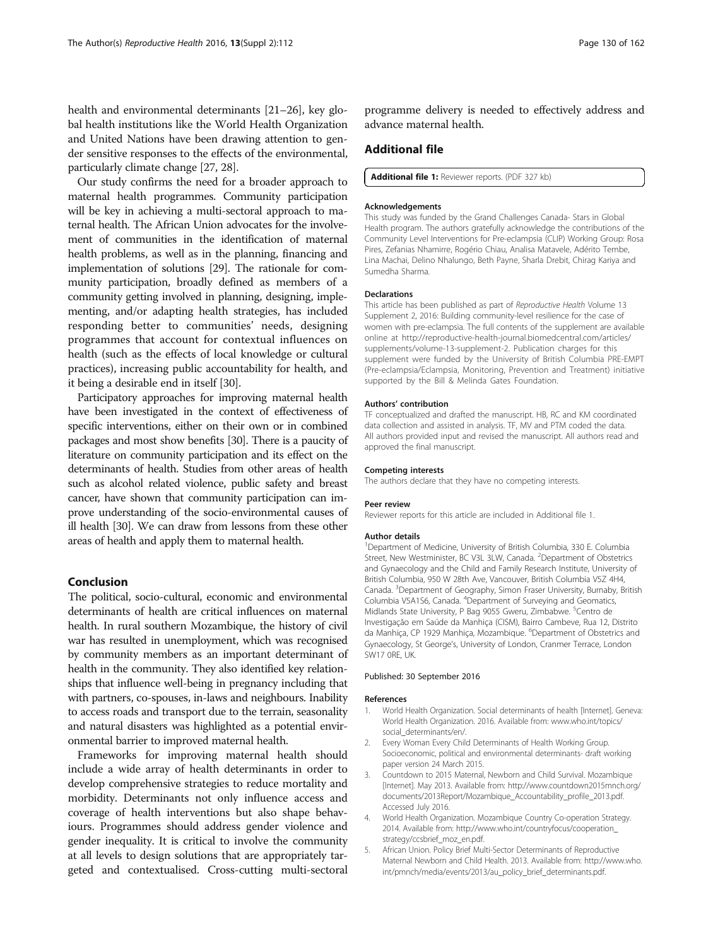<span id="page-7-0"></span>health and environmental determinants [\[21](#page-8-0)–[26](#page-8-0)], key global health institutions like the World Health Organization and United Nations have been drawing attention to gender sensitive responses to the effects of the environmental, particularly climate change [\[27, 28](#page-8-0)].

Our study confirms the need for a broader approach to maternal health programmes. Community participation will be key in achieving a multi-sectoral approach to maternal health. The African Union advocates for the involvement of communities in the identification of maternal health problems, as well as in the planning, financing and implementation of solutions [[29](#page-8-0)]. The rationale for community participation, broadly defined as members of a community getting involved in planning, designing, implementing, and/or adapting health strategies, has included responding better to communities' needs, designing programmes that account for contextual influences on health (such as the effects of local knowledge or cultural practices), increasing public accountability for health, and it being a desirable end in itself [[30](#page-8-0)].

Participatory approaches for improving maternal health have been investigated in the context of effectiveness of specific interventions, either on their own or in combined packages and most show benefits [\[30](#page-8-0)]. There is a paucity of literature on community participation and its effect on the determinants of health. Studies from other areas of health such as alcohol related violence, public safety and breast cancer, have shown that community participation can improve understanding of the socio-environmental causes of ill health [\[30\]](#page-8-0). We can draw from lessons from these other areas of health and apply them to maternal health.

#### Conclusion

The political, socio-cultural, economic and environmental determinants of health are critical influences on maternal health. In rural southern Mozambique, the history of civil war has resulted in unemployment, which was recognised by community members as an important determinant of health in the community. They also identified key relationships that influence well-being in pregnancy including that with partners, co-spouses, in-laws and neighbours. Inability to access roads and transport due to the terrain, seasonality and natural disasters was highlighted as a potential environmental barrier to improved maternal health.

Frameworks for improving maternal health should include a wide array of health determinants in order to develop comprehensive strategies to reduce mortality and morbidity. Determinants not only influence access and coverage of health interventions but also shape behaviours. Programmes should address gender violence and gender inequality. It is critical to involve the community at all levels to design solutions that are appropriately targeted and contextualised. Cross-cutting multi-sectoral

programme delivery is needed to effectively address and advance maternal health.

## Additional file

#### [Additional file 1:](dx.doi.org/10.1186/s12978-016-0217-x) Reviewer reports. (PDF 327 kb)

#### Acknowledgements

This study was funded by the Grand Challenges Canada- Stars in Global Health program. The authors gratefully acknowledge the contributions of the Community Level Interventions for Pre-eclampsia (CLIP) Working Group: Rosa Pires, Zefanias Nhamirre, Rogério Chiau, Analisa Matavele, Adérito Tembe, Lina Machai, Delino Nhalungo, Beth Payne, Sharla Drebit, Chirag Kariya and Sumedha Sharma.

#### Declarations

This article has been published as part of Reproductive Health Volume 13 Supplement 2, 2016: Building community-level resilience for the case of women with pre-eclampsia. The full contents of the supplement are available online at [http://reproductive-health-journal.biomedcentral.com/articles/](http://reproductive-health-journal.biomedcentral.com/articles/supplements/volume-13-supplement-2) [supplements/volume-13-supplement-2.](http://reproductive-health-journal.biomedcentral.com/articles/supplements/volume-13-supplement-2) Publication charges for this supplement were funded by the University of British Columbia PRE-EMPT (Pre-eclampsia/Eclampsia, Monitoring, Prevention and Treatment) initiative supported by the Bill & Melinda Gates Foundation.

#### Authors' contribution

TF conceptualized and drafted the manuscript. HB, RC and KM coordinated data collection and assisted in analysis. TF, MV and PTM coded the data. All authors provided input and revised the manuscript. All authors read and approved the final manuscript.

#### Competing interests

The authors declare that they have no competing interests.

#### Peer review

Reviewer reports for this article are included in Additional file 1.

#### Author details

<sup>1</sup>Department of Medicine, University of British Columbia, 330 E. Columbia Street, New Westminister, BC V3L 3LW, Canada. <sup>2</sup>Department of Obstetrics and Gynaecology and the Child and Family Research Institute, University of British Columbia, 950 W 28th Ave, Vancouver, British Columbia V5Z 4H4, Canada. <sup>3</sup>Department of Geography, Simon Fraser University, Burnaby, British Columbia V5A1S6, Canada. <sup>4</sup> Department of Surveying and Geomatics, Midlands State University, P Bag 9055 Gweru, Zimbabwe. <sup>5</sup>Centro de Investigação em Saúde da Manhiça (CISM), Bairro Cambeve, Rua 12, Distrito da Manhiça, CP 1929 Manhiça, Mozambique. <sup>6</sup>Department of Obstetrics and Gynaecology, St George's, University of London, Cranmer Terrace, London SW17 0RE, UK.

#### Published: 30 September 2016

#### References

- 1. World Health Organization. Social determinants of health [Internet]. Geneva: World Health Organization. 2016. Available from: [www.who.int/topics/](http://www.who.int/topics/social_determinants/en/) [social\\_determinants/en/.](http://www.who.int/topics/social_determinants/en/)
- 2. Every Woman Every Child Determinants of Health Working Group. Socioeconomic, political and environmental determinants- draft working paper version 24 March 2015.
- 3. Countdown to 2015 Maternal, Newborn and Child Survival. Mozambique [Internet]. May 2013. Available from: [http://www.countdown2015mnch.org/](http://www.countdown2015mnch.org/documents/2013Report/Mozambique_Accountability_profile_2013.pdf) [documents/2013Report/Mozambique\\_Accountability\\_profile\\_2013.pdf](http://www.countdown2015mnch.org/documents/2013Report/Mozambique_Accountability_profile_2013.pdf). Accessed July 2016.
- 4. World Health Organization. Mozambique Country Co-operation Strategy. 2014. Available from: [http://www.who.int/countryfocus/cooperation\\_](http://www.who.int/countryfocus/cooperation_strategy/ccsbrief_moz_en.pdf) [strategy/ccsbrief\\_moz\\_en.pdf.](http://www.who.int/countryfocus/cooperation_strategy/ccsbrief_moz_en.pdf)
- 5. African Union. Policy Brief Multi-Sector Determinants of Reproductive Maternal Newborn and Child Health. 2013. Available from: [http://www.who.](http://www.who.int/pmnch/media/events/2013/au_policy_brief_determinants.pdf) [int/pmnch/media/events/2013/au\\_policy\\_brief\\_determinants.pdf](http://www.who.int/pmnch/media/events/2013/au_policy_brief_determinants.pdf).